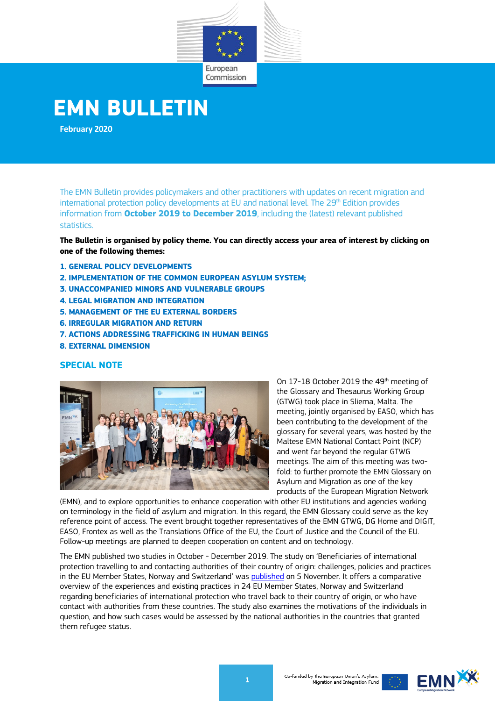

# **EMN BULLETIN**

**February 2020**

The EMN Bulletin provides policymakers and other practitioners with updates on recent migration and international protection policy developments at EU and national level. The 29<sup>th</sup> Edition provides information from **October 2019 to December 2019**, including the (latest) relevant published statistics.

**The Bulletin is organised by policy theme. You can directly access your area of interest by clicking on one of the following themes:** 

- **1[. GENERAL POLICY DEVELOPMENTS](#page-1-0)**
- **2[. IMPLEMENTATION OF THE COMMON EUROPEAN ASYLUM SYSTEM;](#page-2-0)**
- **3[. UNACCOMPANIED MINORS AND VULNERABLE GROUPS](#page-4-0)**
- **4[. LEGAL MIGRATION AND INTEGRATION](#page-5-0)**
- **5. [MANAGEMENT OF THE EU EXTERNAL BORDERS](#page-10-0)**
- **6[. IRREGULAR MIGRATION AND RETURN](#page-11-0)**
- **7[. ACTIONS ADDRESSING TRAFFICKING IN HUMAN BEINGS](#page-12-0)**
- **8. [EXTERNAL DIMENSION](#page-13-0)**

### **SPECIAL NOTE**



On 17-18 October 2019 the 49<sup>th</sup> meeting of the Glossary and Thesaurus Working Group (GTWG) took place in Sliema, Malta. The meeting, jointly organised by EASO, which has been contributing to the development of the glossary for several years, was hosted by the Maltese EMN National Contact Point (NCP) and went far beyond the regular GTWG meetings. The aim of this meeting was twofold: to further promote the EMN Glossary on Asylum and Migration as one of the key products of the European Migration Network

(EMN), and to explore opportunities to enhance cooperation with other EU institutions and agencies working on terminology in the field of asylum and migration. In this regard, the EMN Glossary could serve as the key reference point of access. The event brought together representatives of the EMN GTWG, DG Home and DIGIT, EASO, Frontex as well as the Translations Office of the EU, the Court of Justice and the Council of the EU. Follow-up meetings are planned to deepen cooperation on content and on technology.

The EMN published two studies in October - December 2019. The study on 'Beneficiaries of international protection travelling to and contacting authorities of their country of origin: challenges, policies and practices in the EU Member States, Norway and Switzerland' was [published](https://ec.europa.eu/home-affairs/content/emn-study-beneficiaries-international-protection-travelling-their-country-origin_en) on 5 November. It offers a comparative overview of the experiences and existing practices in 24 EU Member States, Norway and Switzerland regarding beneficiaries of international protection who travel back to their country of origin, or who have contact with authorities from these countries. The study also examines the motivations of the individuals in question, and how such cases would be assessed by the national authorities in the countries that granted them refugee status.

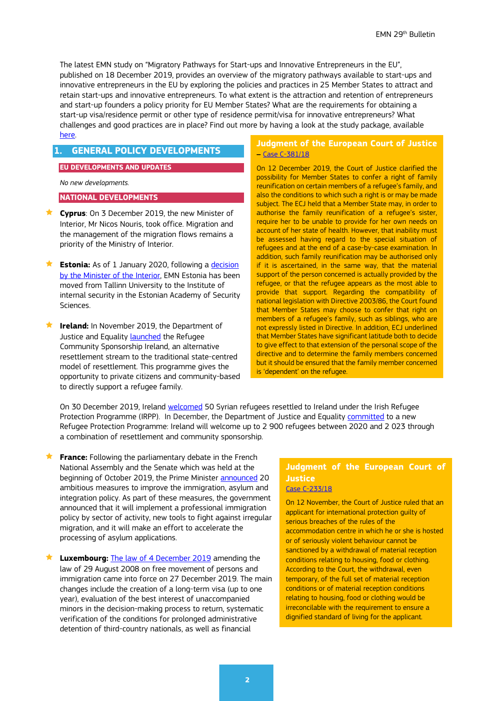The latest EMN study on "Migratory Pathways for Start-ups and Innovative Entrepreneurs in the EU", published on 18 December 2019, provides an overview of the migratory pathways available to start-ups and innovative entrepreneurs in the EU by exploring the policies and practices in 25 Member States to attract and retain start-ups and innovative entrepreneurs. To what extent is the attraction and retention of entrepreneurs and start-up founders a policy priority for EU Member States? What are the requirements for obtaining a start-up visa/residence permit or other type of residence permit/visa for innovative entrepreneurs? What challenges and good practices are in place? Find out more by having a look at the study package, available [here.](https://ec.europa.eu/home-affairs/content/emn-study-migratory-pathways-start-ups-and-innovative-entrepreneurs-eu_en)

# <span id="page-1-0"></span>**1. GENERAL POLICY DEVELOPMENTS**

#### **EU DEVELOPMENTS AND UPDATES**

*No new developments.*

#### **NATIONAL DEVELOPMENTS**

- **Cyprus**: On 3 December 2019, the new Minister of Interior, Mr Nicos Nouris, took office. Migration and the management of the migration flows remains a priority of the Ministry of Interior.
- **Estonia:** As of 1 January 2020, following a *decision* [by the Minister of the Interior,](https://www.siseministeerium.ee/et/uudised/euroopa-randevorgustiku-eesti-kontaktpunkt-tegutseb-jargmisest-aastast-sisekaitseakadeemias) EMN Estonia has been moved from Tallinn University to the Institute of internal security in the Estonian Academy of Security Sciences.
- **Ireland:** In November 2019, the Department of Justice and Equality **launched** the Refugee Community Sponsorship Ireland, an alternative resettlement stream to the traditional state-centred model of resettlement. This programme gives the opportunity to private citizens and community-based to directly support a refugee family.

#### **Judgment of the European Court of Justice –** [Case C-381/18](http://curia.europa.eu/juris/document/document.jsf?text=&docid=221517&pageIndex=0&doclang=EN&mode=lst&dir=&occ=first&part=1&cid=7005535)

On 12 December 2019, the Court of Justice clarified the possibility for Member States to confer a right of family reunification on certain members of a refugee's family, and also the conditions to which such a right is or may be made subject. The ECJ held that a Member State may, in order to authorise the family reunification of a refugee's sister, require her to be unable to provide for her own needs on account of her state of health. However, that inability must be assessed having regard to the special situation of refugees and at the end of a case-by-case examination. In addition, such family reunification may be authorised only if it is ascertained, in the same way, that the material support of the person concerned is actually provided by the refugee, or that the refugee appears as the most able to provide that support. Regarding the compatibility of national legislation with Directive 2003/86, the Court found that Member States may choose to confer that right on members of a refugee's family, such as siblings, who are not expressly listed in Directive. In addition, ECJ underlined that Member States have significant latitude both to decide to give effect to that extension of the personal scope of the directive and to determine the family members concerned but it should be ensured that the family member concerned is 'dependent' on the refugee.

On 30 December 2019, Ireland [welcomed](http://www.justice.ie/en/JELR/Pages/PR19000327) 50 Syrian refugees resettled to Ireland under the Irish Refugee Protection Programme (IRPP). In December, the Department of Justice and Equality [committed](http://www.justice.ie/en/JELR/Pages/PR19000319) to a new Refugee Protection Programme: Ireland will welcome up to 2 900 refugees between 2020 and 2 023 through a combination of resettlement and community sponsorship.  $\overline{\phantom{a}}$ 

**France:** Following the parliamentary debate in the French National Assembly and the Senate which was held at the beginning of October 2019, the Prime Minister **announced** 20 ambitious measures to improve the immigration, asylum and integration policy. As part of these measures, the government announced that it will implement a professional immigration policy by sector of activity, new tools to fight against irregular migration, and it will make an effort to accelerate the processing of asylum applications.

 **Luxembourg:** [The law of 4 December 2019](http://legilux.public.lu/eli/etat/leg/loi/2019/12/04/a884/jo) amending the law of 29 August 2008 on free movement of persons and immigration came into force on 27 December 2019. The main changes include the creation of a long-term visa (up to one year), evaluation of the best interest of unaccompanied minors in the decision-making process to return, systematic verification of the conditions for prolonged administrative detention of third-country nationals, as well as financial

# **Judgment of the European Court of Justice**

[Case C-233/18](http://curia.europa.eu/juris/document/document.jsf?text=&docid=220532&pageIndex=0&doclang=fr&mode=lst&dir=&occ=first&part=1&cid=1483756)

On 12 November, the Court of Justice ruled that an applicant for international protection guilty of serious breaches of the rules of the accommodation centre in which he or she is hosted or of seriously violent behaviour cannot be sanctioned by a withdrawal of material reception conditions relating to housing, food or clothing. According to the Court, the withdrawal, even temporary, of the full set of material reception conditions or of material reception conditions relating to housing, food or clothing would be irreconcilable with the requirement to ensure a dignified standard of living for the applicant.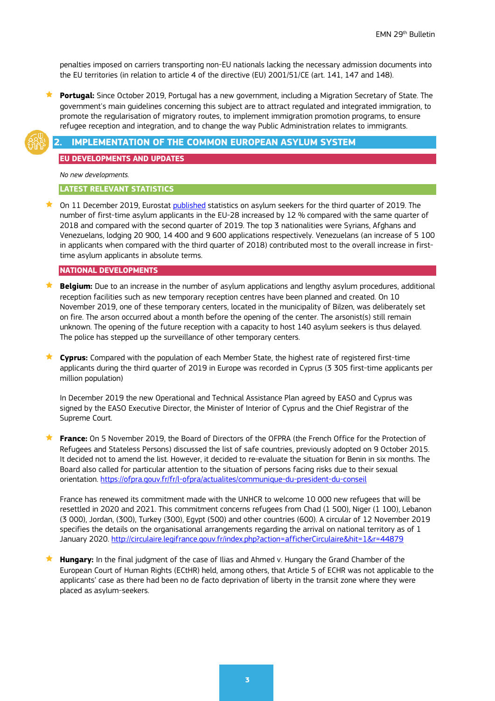penalties imposed on carriers transporting non-EU nationals lacking the necessary admission documents into the EU territories (in relation to article 4 of the directive (EU) 2001/51/CE (art. 141, 147 and 148).

 **Portugal:** Since October 2019, Portugal has a new government, including a Migration Secretary of State. The government's main guidelines concerning this subject are to attract regulated and integrated immigration, to promote the regularisation of migratory routes, to implement immigration promotion programs, to ensure refugee reception and integration, and to change the way Public Administration relates to immigrants.



#### <span id="page-2-0"></span>**2. IMPLEMENTATION OF THE COMMON EUROPEAN ASYLUM SYSTEM**

**EU DEVELOPMENTS AND UPDATES**

*No new developments.*

#### **LATEST RELEVANT STATISTICS**

**★** On 11 December 2019, Eurostat [published](https://ec.europa.eu/eurostat/statistics-explained/index.php/Asylum_quarterly_report#Main_trends_in_the_number_of_asylum_applicants) statistics on asylum seekers for the third quarter of 2019. The number of first-time asylum applicants in the EU-28 increased by 12 % compared with the same quarter of 2018 and compared with the second quarter of 2019. The top 3 nationalities were Syrians, Afghans and Venezuelans, lodging 20 900, 14 400 and 9 600 applications respectively. Venezuelans (an increase of 5 100 in applicants when compared with the third quarter of 2018) contributed most to the overall increase in firsttime asylum applicants in absolute terms.

### **NATIONAL DEVELOPMENTS**

- **Belgium:** Due to an increase in the number of asylum applications and lengthy asylum procedures, additional reception facilities such as new temporary reception centres have been planned and created. On 10 November 2019, one of these temporary centers, located in the municipality of Bilzen, was deliberately set on fire. The arson occurred about a month before the opening of the center. The arsonist(s) still remain unknown. The opening of the future reception with a capacity to host 140 asylum seekers is thus delayed. The police has stepped up the surveillance of other temporary centers.
- **Cyprus:** Compared with the population of each Member State, the highest rate of registered first-time applicants during the third quarter of 2019 in Europe was recorded in Cyprus (3 305 first-time applicants per million population)

In December 2019 the new Operational and Technical Assistance Plan agreed by EASO and Cyprus was signed by the EASO Executive Director, the Minister of Interior of Cyprus and the Chief Registrar of the Supreme Court.

**France:** On 5 November 2019, the Board of Directors of the OFPRA (the French Office for the Protection of Refugees and Stateless Persons) discussed the list of safe countries, previously adopted on 9 October 2015. It decided not to amend the list. However, it decided to re-evaluate the situation for Benin in six months. The Board also called for particular attention to the situation of persons facing risks due to their sexual orientation.<https://ofpra.gouv.fr/fr/l-ofpra/actualites/communique-du-president-du-conseil>

France has renewed its commitment made with the UNHCR to welcome 10 000 new refugees that will be resettled in 2020 and 2021. This commitment concerns refugees from Chad (1 500), Niger (1 100), Lebanon (3 000), Jordan, (300), Turkey (300), Egypt (500) and other countries (600). A circular of 12 November 2019 specifies the details on the organisational arrangements regarding the arrival on national territory as of 1 January 2020.<http://circulaire.legifrance.gouv.fr/index.php?action=afficherCirculaire&hit=1&r=44879>

 **Hungary:** In the final judgment of the case of Ilias and Ahmed v. Hungary the Grand Chamber of the European Court of Human Rights (ECtHR) held, among others, that Article 5 of ECHR was not applicable to the applicants' case as there had been no de facto deprivation of liberty in the transit zone where they were placed as asylum-seekers.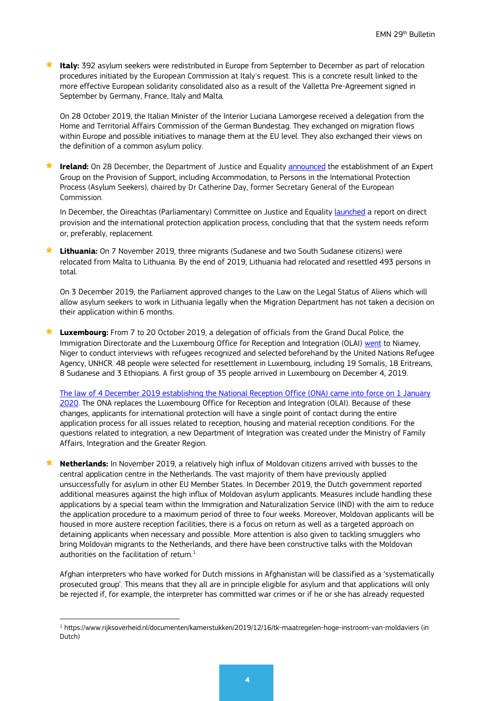**★ Italy:** 392 asylum seekers were redistributed in Europe from September to December as part of relocation procedures initiated by the European Commission at Italy's request. This is a concrete result linked to the more effective European solidarity consolidated also as a result of the Valletta Pre-Agreement signed in September by Germany, France, Italy and Malta.

On 28 October 2019, the Italian Minister of the Interior Luciana Lamorgese received a delegation from the Home and Territorial Affairs Commission of the German Bundestag. They exchanged on migration flows within Europe and possible initiatives to manage them at the EU level. They also exchanged their views on the definition of a common asylum policy.

 **Ireland:** On 28 December, the Department of Justice and Equality [announced](https://merrionstreet.ie/en/News-Room/Releases/Ministers_Flanagan_and_Stanton_announce_establishment_of_Expert_Group_on_Direct_Provision.html) the establishment of an Expert Group on the Provision of Support, including Accommodation, to Persons in the International Protection Process (Asylum Seekers), chaired by Dr Catherine Day, former Secretary General of the European Commission.

In December, the Oireachtas (Parliamentary) Committee on Justice and Equality [launched](https://data.oireachtas.ie/ie/oireachtas/committee/dail/32/joint_committee_on_justice_and_equality/reports/2019/2019-12-12_report-on-direct-provision-and-the-international-protection-application-process_en.pdf) a report on direct provision and the international protection application process, concluding that that the system needs reform or, preferably, replacement.

 **Lithuania:** On 7 November 2019, three migrants (Sudanese and two South Sudanese citizens) were relocated from Malta to Lithuania. By the end of 2019, Lithuania had relocated and resettled 493 persons in total.

On 3 December 2019, the Parliament approved changes to the Law on the Legal Status of Aliens which will allow asylum seekers to work in Lithuania legally when the Migration Department has not taken a decision on their application within 6 months.

 **Luxembourg:** From 7 to 20 October 2019, a delegation of officials from the Grand Ducal Police, the Immigration Directorate and the Luxembourg Office for Reception and Integration (OLAI) [went](https://gouvernement.lu/fr/actualites/toutes_actualites/communiques/2019/12-decembre/09-reinstallation-refugies.html) to Niamey, Niger to conduct interviews with refugees recognized and selected beforehand by the United Nations Refugee Agency, UNHCR. 48 people were selected for resettlement in Luxembourg, including 19 Somalis, 18 Eritreans, 8 Sudanese and 3 Ethiopians. A first group of 35 people arrived in Luxembourg on December 4, 2019.

[The law of 4 December 2019 establishing the National Reception Office \(ONA\) came into force on 1 January](http://legilux.public.lu/eli/etat/leg/loi/2019/12/04/a907/jo)  [2020.](http://legilux.public.lu/eli/etat/leg/loi/2019/12/04/a907/jo) The ONA replaces the Luxembourg Office for Reception and Integration (OLAI). Because of these changes, applicants for international protection will have a single point of contact during the entire application process for all issues related to reception, housing and material reception conditions. For the questions related to integration, a new Department of Integration was created under the Ministry of Family Affairs, Integration and the Greater Region.

**★ Netherlands:** In November 2019, a relatively high influx of Moldovan citizens arrived with busses to the central application centre in the Netherlands. The vast majority of them have previously applied unsuccessfully for asylum in other EU Member States. In December 2019, the Dutch government reported additional measures against the high influx of Moldovan asylum applicants. Measures include handling these applications by a special team within the Immigration and Naturalization Service (IND) with the aim to reduce the application procedure to a maximum period of three to four weeks. Moreover, Moldovan applicants will be housed in more austere reception facilities, there is a focus on return as well as a targeted approach on detaining applicants when necessary and possible. More attention is also given to tackling smugglers who bring Moldovan migrants to the Netherlands, and there have been constructive talks with the Moldovan authorities on the facilitation of return. $1$ 

Afghan interpreters who have worked for Dutch missions in Afghanistan will be classified as a 'systematically prosecuted group'. This means that they all are in principle eligible for asylum and that applications will only be rejected if, for example, the interpreter has committed war crimes or if he or she has already requested

<span id="page-3-0"></span><sup>1</sup> https://www.rijksoverheid.nl/documenten/kamerstukken/2019/12/16/tk-maatregelen-hoge-instroom-van-moldaviers (in Dutch)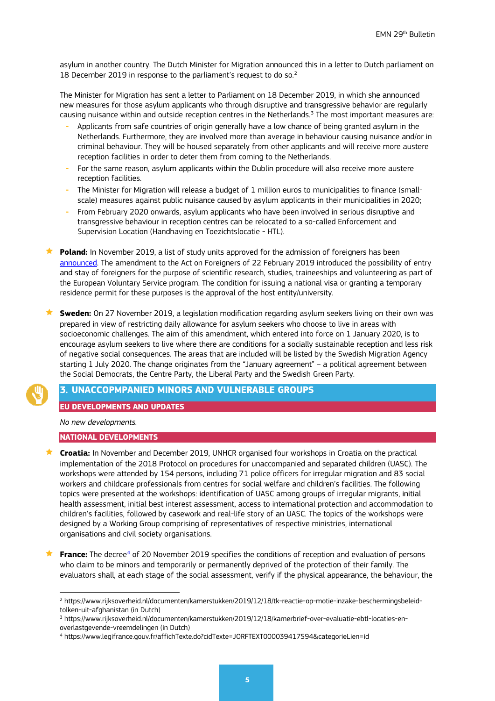asylum in another country. The Dutch Minister for Migration announced this in a letter to Dutch parliament on 18 December [2](#page-4-1)019 in response to the parliament's request to do so.<sup>2</sup>

The Minister for Migration has sent a letter to Parliament on 18 December 2019, in which she announced new measures for those asylum applicants who through disruptive and transgressive behavior are regularly causing nuisance within and outside reception centres in the Netherlands.<sup>[3](#page-4-2)</sup> The most important measures are:

- **-** Applicants from safe countries of origin generally have a low chance of being granted asylum in the Netherlands. Furthermore, they are involved more than average in behaviour causing nuisance and/or in criminal behaviour. They will be housed separately from other applicants and will receive more austere reception facilities in order to deter them from coming to the Netherlands.
- **-** For the same reason, asylum applicants within the Dublin procedure will also receive more austere reception facilities.
- **-** The Minister for Migration will release a budget of 1 million euros to municipalities to finance (smallscale) measures against public nuisance caused by asylum applicants in their municipalities in 2020;
- **-** From February 2020 onwards, asylum applicants who have been involved in serious disruptive and transgressive behaviour in reception centres can be relocated to a so-called Enforcement and Supervision Location (Handhaving en Toezichtslocatie - HTL).

 **Poland:** In November 2019, a list of study units approved for the admission of foreigners has been [announced.](https://www.gov.pl/web/mswia/zloz-wniosek-o-zatwierdzanie-jednostki-lub-organizatora-strazu-na-potrzeby-przyjmowania-cudzoziemcow) The amendment to the Act on Foreigners of 22 February 2019 introduced the possibility of entry and stay of foreigners for the purpose of scientific research, studies, traineeships and volunteering as part of the European Voluntary Service program. The condition for issuing a national visa or granting a temporary residence permit for these purposes is the approval of the host entity/university.

 **Sweden:** On 27 November 2019, a legislation modification regarding asylum seekers living on their own was prepared in view of restricting daily allowance for asylum seekers who choose to live in areas with socioeconomic challenges. The aim of this amendment, which entered into force on 1 January 2020, is to encourage asylum seekers to live where there are conditions for a socially sustainable reception and less risk of negative social consequences. The areas that are included will be listed by the Swedish Migration Agency starting 1 July 2020. The change originates from the "January agreement" – a political agreement between the Social Democrats, the Centre Party, the Liberal Party and the Swedish Green Party.

### <span id="page-4-0"></span>**3. UNACCOPMPANIED MINORS AND VULNERABLE GROUPS**

#### **EU DEVELOPMENTS AND UPDATES**

*No new developments.*

#### **NATIONAL DEVELOPMENTS**

- **Croatia:** In November and December 2019, UNHCR organised four workshops in Croatia on the practical implementation of the 2018 Protocol on procedures for unaccompanied and separated children (UASC). The workshops were attended by 154 persons, including 71 police officers for irregular migration and 83 social workers and childcare professionals from centres for social welfare and children's facilities. The following topics were presented at the workshops: identification of UASC among groups of irregular migrants, initial health assessment, initial best interest assessment, access to international protection and accommodation to children's facilities, followed by casework and real-life story of an UASC. The topics of the workshops were designed by a Working Group comprising of representatives of respective ministries, international organisations and civil society organisations.
- **France:** The decree<sup>[4](#page-4-3)</sup> of 20 November 2019 specifies the conditions of reception and evaluation of persons who claim to be minors and temporarily or permanently deprived of the protection of their family. The evaluators shall, at each stage of the social assessment, verify if the physical appearance, the behaviour, the

<span id="page-4-1"></span><sup>2</sup> https://www.rijksoverheid.nl/documenten/kamerstukken/2019/12/18/tk-reactie-op-motie-inzake-beschermingsbeleidtolken-uit-afghanistan (in Dutch)

<span id="page-4-2"></span><sup>3</sup> https://www.rijksoverheid.nl/documenten/kamerstukken/2019/12/18/kamerbrief-over-evaluatie-ebtl-locaties-enoverlastgevende-vreemdelingen (in Dutch)

<span id="page-4-3"></span><sup>4</sup> https://www.legifrance.gouv.fr/affichTexte.do?cidTexte=JORFTEXT000039417594&categorieLien=id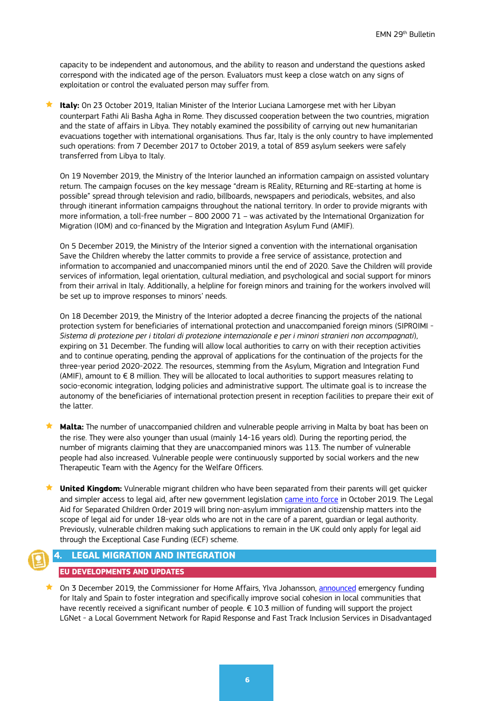capacity to be independent and autonomous, and the ability to reason and understand the questions asked correspond with the indicated age of the person. Evaluators must keep a close watch on any signs of exploitation or control the evaluated person may suffer from.

 **Italy:** On 23 October 2019, Italian Minister of the Interior Luciana Lamorgese met with her Libyan counterpart Fathi Ali Basha Agha in Rome. They discussed cooperation between the two countries, migration and the state of affairs in Libya. They notably examined the possibility of carrying out new humanitarian evacuations together with international organisations. Thus far, Italy is the only country to have implemented such operations: from 7 December 2017 to October 2019, a total of 859 asylum seekers were safely transferred from Libya to Italy.

On 19 November 2019, the Ministry of the Interior launched an information campaign on assisted voluntary return. The campaign focuses on the key message "dream is REality, REturning and RE-starting at home is possible" spread through television and radio, billboards, newspapers and periodicals, websites, and also through itinerant information campaigns throughout the national territory. In order to provide migrants with more information, a toll-free number – 800 2000 71 – was activated by the International Organization for Migration (IOM) and co-financed by the Migration and Integration Asylum Fund (AMIF).

On 5 December 2019, the Ministry of the Interior signed a convention with the international organisation Save the Children whereby the latter commits to provide a free service of assistance, protection and information to accompanied and unaccompanied minors until the end of 2020. Save the Children will provide services of information, legal orientation, cultural mediation, and psychological and social support for minors from their arrival in Italy. Additionally, a helpline for foreign minors and training for the workers involved will be set up to improve responses to minors' needs.

On 18 December 2019, the Ministry of the Interior adopted a decree financing the projects of the national protection system for beneficiaries of international protection and unaccompanied foreign minors (SIPROIMI - *Sistema di protezione per i titolari di protezione internazionale e per i minori stranieri non accompagnati*), expiring on 31 December. The funding will allow local authorities to carry on with their reception activities and to continue operating, pending the approval of applications for the continuation of the projects for the three-year period 2020-2022. The resources, stemming from the Asylum, Migration and Integration Fund (AMIF), amount to  $\epsilon$  8 million. They will be allocated to local authorities to support measures relating to socio-economic integration, lodging policies and administrative support. The ultimate goal is to increase the autonomy of the beneficiaries of international protection present in reception facilities to prepare their exit of the latter.

 **Malta:** The number of unaccompanied children and vulnerable people arriving in Malta by boat has been on the rise. They were also younger than usual (mainly 14-16 years old). During the reporting period, the number of migrants claiming that they are unaccompanied minors was 113. The number of vulnerable people had also increased. Vulnerable people were continuously supported by social workers and the new Therapeutic Team with the Agency for the Welfare Officers.

 **United Kingdom:** Vulnerable migrant children who have been separated from their parents will get quicker and simpler access to legal aid, after new government legislation [came into force](https://www.gov.uk/government/news/separated-migrant-children-given-better-access-to-legal-aid) in October 2019. The Legal Aid for Separated Children Order 2019 will bring non-asylum immigration and citizenship matters into the scope of legal aid for under 18-year olds who are not in the care of a parent, guardian or legal authority. Previously, vulnerable children making such applications to remain in the UK could only apply for legal aid through the Exceptional Case Funding (ECF) scheme.

### <span id="page-5-0"></span>**4. LEGAL MIGRATION AND INTEGRATION**

#### **EU DEVELOPMENTS AND UPDATES**

 On 3 December 2019, the Commissioner for Home Affairs, Ylva Johansson, [announced](https://ec.europa.eu/home-affairs/news/integration-migrants-commissioner-johansson-announces-funding-italy-and-spain_en) emergency funding for Italy and Spain to foster integration and specifically improve social cohesion in local communities that have recently received a significant number of people. € 10.3 million of funding will support the project LGNet - a Local Government Network for Rapid Response and Fast Track Inclusion Services in Disadvantaged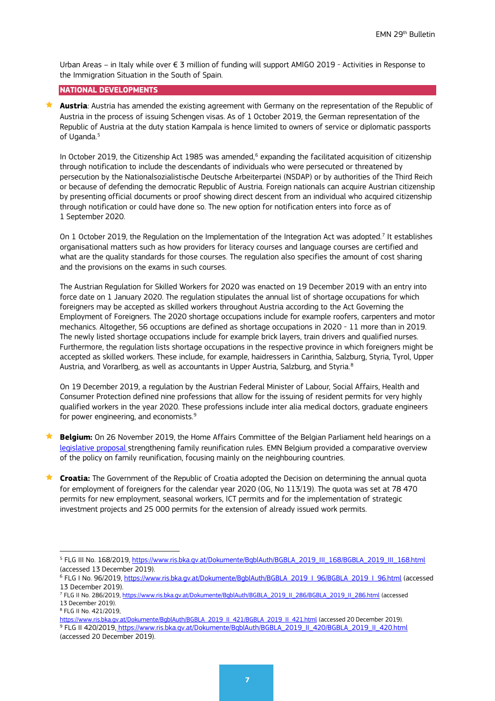Urban Areas – in Italy while over € 3 million of funding will support AMIGO 2019 - Activities in Response to the Immigration Situation in the South of Spain.

#### **NATIONAL DEVELOPMENTS**

 **Austria**: Austria has amended the existing agreement with Germany on the representation of the Republic of Austria in the process of issuing Schengen visas. As of 1 October 2019, the German representation of the Republic of Austria at the duty station Kampala is hence limited to owners of service or diplomatic passports of Uganda.<sup>[5](#page-6-0)</sup>

In October 2019, the Citizenship Act 1985 was amended,<sup>[6](#page-6-1)</sup> expanding the facilitated acquisition of citizenship through notification to include the descendants of individuals who were persecuted or threatened by persecution by the Nationalsozialistische Deutsche Arbeiterpartei (NSDAP) or by authorities of the Third Reich or because of defending the democratic Republic of Austria. Foreign nationals can acquire Austrian citizenship by presenting official documents or proof showing direct descent from an individual who acquired citizenship through notification or could have done so. The new option for notification enters into force as of 1 September 2020.

On 1 October 2019, the Regulation on the Implementation of the Integration Act was adopted.<sup>[7](#page-6-2)</sup> It establishes organisational matters such as how providers for literacy courses and language courses are certified and what are the quality standards for those courses. The regulation also specifies the amount of cost sharing and the provisions on the exams in such courses.

The Austrian Regulation for Skilled Workers for 2020 was enacted on 19 December 2019 with an entry into force date on 1 January 2020. The regulation stipulates the annual list of shortage occupations for which foreigners may be accepted as skilled workers throughout Austria according to the Act Governing the Employment of Foreigners. The 2020 shortage occupations include for example roofers, carpenters and motor mechanics. Altogether, 56 occuptions are defined as shortage occupations in 2020 - 11 more than in 2019. The newly listed shortage occupations include for example brick layers, train drivers and qualified nurses. Furthermore, the regulation lists shortage occupations in the respective province in which foreigners might be accepted as skilled workers. These include, for example, haidressers in Carinthia, Salzburg, Styria, Tyrol, Upper Austria, and Vorarlberg, as well as accountants in Upper Austria, Salzburg, and Styria.<sup>[8](#page-6-3)</sup>

On 19 December 2019, a regulation by the Austrian Federal Minister of Labour, Social Affairs, Health and Consumer Protection defined nine professions that allow for the issuing of resident permits for very highly qualified workers in the year 2020. These professions include inter alia medical doctors, graduate engineers for power engineering, and economists.<sup>[9](#page-6-4)</sup>

- **Belgium:** On 26 November 2019, the Home Affairs Committee of the Belgian Parliament held hearings on a [legislative proposal s](https://www.dekamer.be/FLWB/PDF/55/0574/55K0574001.pdf)trengthening family reunification rules. EMN Belgium provided a comparative overview of the policy on family reunification, focusing mainly on the neighbouring countries.
- **Croatia:** The Government of the Republic of Croatia adopted the Decision on determining the annual quota for employment of foreigners for the calendar year 2020 (OG, No 113/19). The quota was set at 78 470 permits for new employment, seasonal workers, ICT permits and for the implementation of strategic investment projects and 25 000 permits for the extension of already issued work permits.

<span id="page-6-4"></span><span id="page-6-3"></span>[https://www.ris.bka.gv.at/Dokumente/BgblAuth/BGBLA\\_2019\\_II\\_421/BGBLA\\_2019\\_II\\_421.html](https://www.ris.bka.gv.at/Dokumente/BgblAuth/BGBLA_2019_II_421/BGBLA_2019_II_421.html) (accessed 20 December 2019). <sup>9</sup> FLG II 420/2019, [https://www.ris.bka.gv.at/Dokumente/BgblAuth/BGBLA\\_2019\\_II\\_420/BGBLA\\_2019\\_II\\_420.html](https://www.ris.bka.gv.at/Dokumente/BgblAuth/BGBLA_2019_II_420/BGBLA_2019_II_420.html) (accessed 20 December 2019).

<span id="page-6-0"></span><sup>&</sup>lt;sup>5</sup> FLG III No. 168/2019, [https://www.ris.bka.gv.at/Dokumente/BgblAuth/BGBLA\\_2019\\_III\\_168/BGBLA\\_2019\\_III\\_168.html](https://www.ris.bka.gv.at/Dokumente/BgblAuth/BGBLA_2019_III_168/BGBLA_2019_III_168.html) (accessed 13 December 2019).

<span id="page-6-1"></span><sup>6</sup> FLG I No. 96/2019[, https://www.ris.bka.gv.at/Dokumente/BgblAuth/BGBLA\\_2019\\_I\\_96/BGBLA\\_2019\\_I\\_96.html](https://www.ris.bka.gv.at/Dokumente/BgblAuth/BGBLA_2019_I_96/BGBLA_2019_I_96.html) (accessed 13 December 2019).

<span id="page-6-2"></span><sup>&</sup>lt;sup>7</sup> FLG II No. 286/2019[, https://www.ris.bka.gv.at/Dokumente/BgblAuth/BGBLA\\_2019\\_II\\_286/BGBLA\\_2019\\_II\\_286.html](https://www.ris.bka.gv.at/Dokumente/BgblAuth/BGBLA_2019_II_286/BGBLA_2019_II_286.html) (accessed <sup>13</sup> December 2019). 8 FLG II No. 421/2019,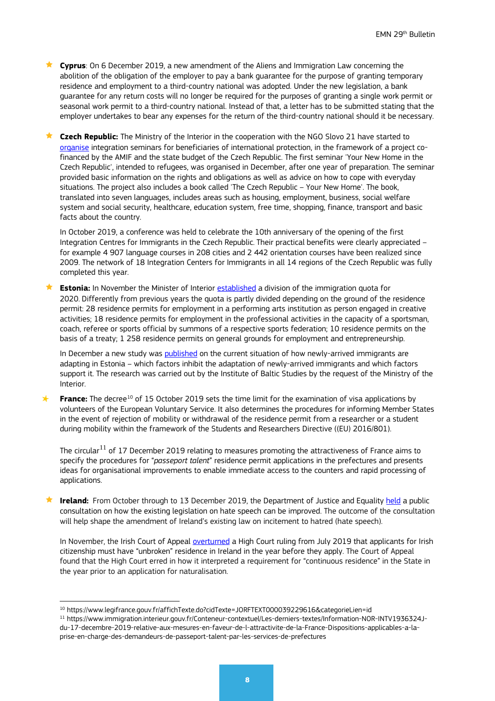**Cyprus**: On 6 December 2019, a new amendment of the Aliens and Immigration Law concerning the abolition of the obligation of the employer to pay a bank guarantee for the purpose of granting temporary residence and employment to a third-country national was adopted. Under the new legislation, a bank guarantee for any return costs will no longer be required for the purposes of granting a single work permit or seasonal work permit to a third-country national. Instead of that, a letter has to be submitted stating that the employer undertakes to bear any expenses for the return of the third-country national should it be necessary.

**★ Czech Republic:** The Ministry of the Interior in the cooperation with the NGO Slovo 21 have started to [organise](http://www.novy-domov.cz/english/) integration seminars for beneficiaries of international protection, in the framework of a project cofinanced by the AMIF and the state budget of the Czech Republic. The first seminar 'Your New Home in the Czech Republic', intended to refugees, was organised in December, after one year of preparation. The seminar provided basic information on the rights and obligations as well as advice on how to cope with everyday situations. The project also includes a book called 'The Czech Republic – Your New Home'. The book, translated into seven languages, includes areas such as housing, employment, business, social welfare system and social security, healthcare, education system, free time, shopping, finance, transport and basic facts about the country.

In October 2019, a conference was held to celebrate the 10th anniversary of the opening of the first Integration Centres for Immigrants in the Czech Republic. Their practical benefits were clearly appreciated – for example 4 907 language courses in 208 cities and 2 442 orientation courses have been realized since 2009. The network of 18 Integration Centers for Immigrants in all 14 regions of the Czech Republic was fully completed this year.

 **Estonia:** In November the Minister of Interior [established](https://www.siseministeerium.ee/et/uudised/siseminister-kehtestas-2020-aasta-sisserande-piirarvu-jaotuse) a division of the immigration quota for 2020. Differently from previous years the quota is partly divided depending on the ground of the residence permit: 28 residence permits for employment in a performing arts institution as person engaged in creative activities; 18 residence permits for employment in the professional activities in the capacity of a sportsman, coach, referee or sports official by summons of a respective sports federation; 10 residence permits on the basis of a treaty; 1 258 residence permits on general grounds for employment and entrepreneurship.

In December a new study was [published](https://www.ibs.ee/wp-content/uploads/Uussisserandajate-kohanemine-Eestis-2019-EN.pdf) on the current situation of how newly-arrived immigrants are adapting in Estonia – which factors inhibit the adaptation of newly-arrived immigrants and which factors support it. The research was carried out by the Institute of Baltic Studies by the request of the Ministry of the Interior.

**France:** The decree<sup>[10](#page-7-0)</sup> of 15 October 2019 sets the time limit for the examination of visa applications by volunteers of the European Voluntary Service. It also determines the procedures for informing Member States in the event of rejection of mobility or withdrawal of the residence permit from a researcher or a student during mobility within the framework of the Students and Researchers Directive ((EU) 2016/801).

The circular<sup>[11](#page-7-1)</sup> of 17 December 2019 relating to measures promoting the attractiveness of France aims to specify the procedures for "*passeport talent*" residence permit applications in the prefectures and presents ideas for organisational improvements to enable immediate access to the counters and rapid processing of applications.

**Ireland:** From October through to 13 December 2019, the Department of Justice and Equality [held](http://justice.ie/en/JELR/Pages/PR19000263) a public consultation on how the existing legislation on hate speech can be improved. The outcome of the consultation will help shape the amendment of Ireland's existing law on incitement to hatred (hate speech).

In November, the Irish Court of Appeal [overturned](http://www.justice.ie/en/JELR/Pages/PR19000280) a High Court ruling from July 2019 that applicants for Irish citizenship must have "unbroken" residence in Ireland in the year before they apply. The Court of Appeal found that the High Court erred in how it interpreted a requirement for "continuous residence" in the State in the year prior to an application for naturalisation.

<span id="page-7-0"></span><sup>10</sup> https://www.legifrance.gouv.fr/affichTexte.do?cidTexte=JORFTEXT000039229616&categorieLien=id

<span id="page-7-1"></span><sup>11</sup> https://www.immigration.interieur.gouv.fr/Conteneur-contextuel/Les-derniers-textes/Information-NOR-INTV1936324Jdu-17-decembre-2019-relative-aux-mesures-en-faveur-de-l-attractivite-de-la-France-Dispositions-applicables-a-laprise-en-charge-des-demandeurs-de-passeport-talent-par-les-services-de-prefectures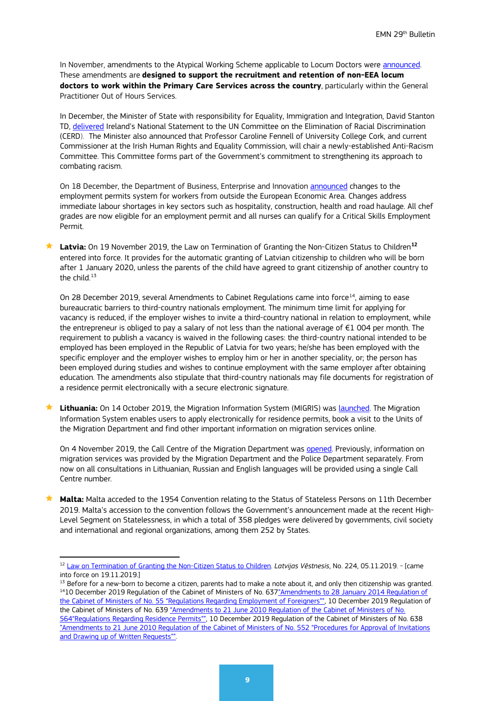In November, amendments to the Atypical Working Scheme applicable to Locum Doctors were announced. These amendments are **designed to support the recruitment and retention of non-EEA locum doctors to work within the Primary Care Services across the country**, particularly within the General Practitioner Out of Hours Services.

In December, the Minister of State with responsibility for Equality, Immigration and Integration, David Stanton TD, [delivered](http://www.justice.ie/en/JELR/Pages/PR19000296) Ireland's National Statement to the UN Committee on the Elimination of Racial Discrimination (CERD). The Minister also announced that Professor Caroline Fennell of University College Cork, and current Commissioner at the Irish Human Rights and Equality Commission, will chair a newly-established Anti-Racism Committee. This Committee forms part of the Government's commitment to strengthening its approach to combating racism.

On 18 December, the Department of Business, Enterprise and Innovation **announced** changes to the employment permits system for workers from outside the European Economic Area. Changes address immediate labour shortages in key sectors such as hospitality, construction, health and road haulage. All chef grades are now eligible for an employment permit and all nurses can qualify for a Critical Skills Employment Permit.

**★ Latvia:** On 19 November 2019, the Law on Termination of Granting the Non-Citizen Status to Children<sup>[12](#page-8-0)</sup> entered into force. It provides for the automatic granting of Latvian citizenship to children who will be born after 1 January 2020, unless the parents of the child have agreed to grant citizenship of another country to the child.<sup>[13](#page-8-1)</sup>

On 28 December 2019, several Amendments to Cabinet Regulations came into force<sup>[14](#page-8-2)</sup>, aiming to ease bureaucratic barriers to third-country nationals employment. The minimum time limit for applying for vacancy is reduced, if the employer wishes to invite a third-country national in relation to employment, while the entrepreneur is obliged to pay a salary of not less than the national average of  $\epsilon$ 1 004 per month. The requirement to publish a vacancy is waived in the following cases: the third-country national intended to be employed has been employed in the Republic of Latvia for two years; he/she has been employed with the specific employer and the employer wishes to employ him or her in another speciality, or; the person has been employed during studies and wishes to continue employment with the same employer after obtaining education. The amendments also stipulate that third-country nationals may file documents for registration of a residence permit electronically with a secure electronic signature.

 **Lithuania:** On 14 October 2019, the Migration Information System (MIGRIS) was [launched.](https://www.migracija.lt/en/) The Migration Information System enables users to apply electronically for residence permits, book a visit to the Units of the Migration Department and find other important information on migration services online.

On 4 November 2019, the Call Centre of the Migration Department was [opened.](https://www.migracija.lt/en/-/the-call-centre-of-the-migration-department-starts-its-activities) Previously, information on migration services was provided by the Migration Department and the Police Department separately. From now on all consultations in Lithuanian, Russian and English languages will be provided using a single Call Centre number*.* 

**★ Malta:** Malta acceded to the 1954 Convention relating to the Status of Stateless Persons on 11th December 2019. Malta's accession to the convention follows the Government's announcement made at the recent High-Level Segment on Statelessness, in which a total of 358 pledges were delivered by governments, civil society and international and regional organizations, among them 252 by States.

<span id="page-8-0"></span><sup>12</sup> Law on [Termination of Granting the Non-Citizen Status to Children.](https://likumi.lv/ta/id/310468-par-nepilsona-statusa-pieskirsanas-izbeigsanu-berniem) *Latvijas Vēstnesis*, No. 224, 05.11.2019. - [came into force on 19.11.2019.]

<span id="page-8-2"></span><span id="page-8-1"></span><sup>&</sup>lt;sup>13</sup> Before for a new-born to become a citizen, parents had to make a note about it, and only then citizenship was granted. <sup>14</sup>10 December 2019 Regulation of the Cabinet of Ministers of No. 637"Amendments to 28 January 2014 Regulation of [the Cabinet of Ministers of No. 55 "Regulations Regarding Employment of Foreigners"",](https://likumi.lv/ta/id/311662) 10 December 2019 Regulation of the Cabinet of Ministers of No. 63[9 "Amendments to 21 June 2010 Regulation of the Cabinet of Ministers of No.](https://likumi.lv/ta/id/311664)  [564"Regulations Regarding Residence Permits"",](https://likumi.lv/ta/id/311664) 10 December 2019 Regulation of the Cabinet of Ministers of No. 638 ["Amendments to 21 June 2010 Regulation of the Cabinet of Ministers of No. 552 "Procedures for Approval of Invitations](https://likumi.lv/ta/id/311663)  [and Drawing up of Written Requests"".](https://likumi.lv/ta/id/311663)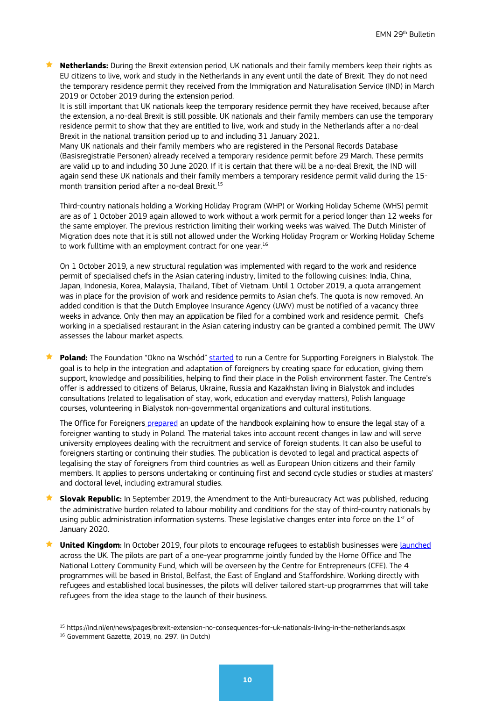**Netherlands:** During the Brexit extension period, UK nationals and their family members keep their rights as EU citizens to live, work and study in the Netherlands in any event until the date of Brexit. They do not need the temporary residence permit they received from the Immigration and Naturalisation Service (IND) in March 2019 or October 2019 during the extension period.

It is still important that UK nationals keep the temporary residence permit they have received, because after the extension, a no-deal Brexit is still possible. UK nationals and their family members can use the temporary residence permit to show that they are entitled to live, work and study in the Netherlands after a no-deal Brexit in the national transition period up to and including 31 January 2021.

Many UK nationals and their family members who are registered in the Personal Records Database (Basisregistratie Personen) already received a temporary residence permit before 29 March. These permits are valid up to and including 30 June 2020. If it is certain that there will be a no-deal Brexit, the IND will again send these UK nationals and their family members a temporary residence permit valid during the 15 month transition period after a no-deal Brexit.[15](#page-9-0)

Third-country nationals holding a Working Holiday Program (WHP) or Working Holiday Scheme (WHS) permit are as of 1 October 2019 again allowed to work without a work permit for a period longer than 12 weeks for the same employer. The previous restriction limiting their working weeks was waived. The Dutch Minister of Migration does note that it is still not allowed under the Working Holiday Program or Working Holiday Scheme to work fulltime with an employment contract for one year.<sup>[16](#page-9-1)</sup>

On 1 October 2019, a new structural regulation was implemented with regard to the work and residence permit of specialised chefs in the Asian catering industry, limited to the following cuisines: India, China, Japan, Indonesia, Korea, Malaysia, Thailand, Tibet of Vietnam. Until 1 October 2019, a quota arrangement was in place for the provision of work and residence permits to Asian chefs. The quota is now removed. An added condition is that the Dutch Employee Insurance Agency (UWV) must be notified of a vacancy three weeks in advance. Only then may an application be filed for a combined work and residence permit. Chefs working in a specialised restaurant in the Asian catering industry can be granted a combined permit. The UWV assesses the labour market aspects.

**★ Poland:** The Foundation "Okno na Wschód[" started](https://emn.gov.pl/ese/news/15460,The-Foundation-Okno-na-Wschod-started-to-run-a-Centre-for-Supporting-Foreigners-.html) to run a Centre for Supporting Foreigners in Bialystok. The goal is to help in the integration and adaptation of foreigners by creating space for education, giving them support, knowledge and possibilities, helping to find their place in the Polish environment faster. The Centre's offer is addressed to citizens of Belarus, Ukraine, Russia and Kazakhstan living in Bialystok and includes consultations (related to legalisation of stay, work, education and everyday matters), Polish language courses, volunteering in Bialystok non-governmental organizations and cultural institutions.

The Office for Foreigners [prepared](https://udsc.gov.pl/poradnik-dla-uczelni-i-studentow-zagranicznych-aktualizacja/) an update of the handbook explaining how to ensure the legal stay of a foreigner wanting to study in Poland. The material takes into account recent changes in law and will serve university employees dealing with the recruitment and service of foreign students. It can also be useful to foreigners starting or continuing their studies. The publication is devoted to legal and practical aspects of legalising the stay of foreigners from third countries as well as European Union citizens and their family members. It applies to persons undertaking or continuing first and second cycle studies or studies at masters' and doctoral level, including extramural studies.

- **Slovak Republic:** In September 2019, the Amendment to the Anti-bureaucracy Act was published, reducing the administrative burden related to labour mobility and conditions for the stay of third-country nationals by using public administration information systems. These legislative changes enter into force on the 1st of January 2020.
- **★ United Kingdom:** In October 2019, four pilots to encourage refugees to establish businesses were [launched](file://icfi.icfconsulting.com/org/ea/jobs/PIP/DG%20HOME%20EMN%202018-2020/WS%20III/2.%20Strategy_Visibility%20and%20dissemination/2.%20Bulletin/29th/%EF%83%AA%09https:/www.gov.uk/government/news/entrepreneur-training-pilots-for-refugees-launched-across-the-uk) across the UK. The pilots are part of a one-year programme jointly funded by the Home Office and The National Lottery Community Fund, which will be overseen by the Centre for Entrepreneurs (CFE). The 4 programmes will be based in Bristol, Belfast, the East of England and Staffordshire. Working directly with refugees and established local businesses, the pilots will deliver tailored start-up programmes that will take refugees from the idea stage to the launch of their business.

<span id="page-9-0"></span><sup>15</sup> https://ind.nl/en/news/pages/brexit-extension-no-consequences-for-uk-nationals-living-in-the-netherlands.aspx

<span id="page-9-1"></span><sup>16</sup> Government Gazette, 2019, no. 297. (in Dutch)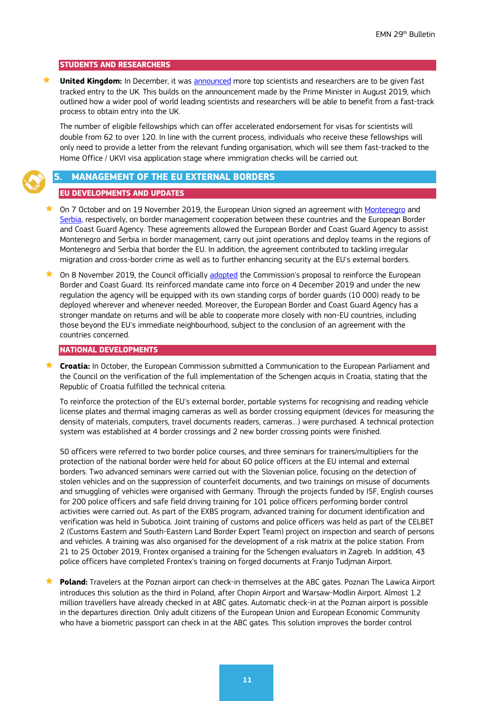#### **STUDENTS AND RESEARCHERS**

 **United Kingdom:** In December, it was [announced](https://www.gov.uk/government/news/global-britain-to-attract-more-top-scientists-with-fast-tracked-entry) more top scientists and researchers are to be given fast tracked entry to the UK. This builds on the announcement made by the Prime Minister in August 2019, which outlined how a wider pool of world leading scientists and researchers will be able to benefit from a fast-track process to obtain entry into the UK.

The number of eligible fellowships which can offer accelerated endorsement for visas for scientists will double from 62 to over 120. In line with the current process, individuals who receive these fellowships will only need to provide a letter from the relevant funding organisation, which will see them fast-tracked to the Home Office / UKVI visa application stage where immigration checks will be carried out.

#### <span id="page-10-0"></span>**5. MANAGEMENT OF THE EU EXTERNAL BORDERS**

#### **EU DEVELOPMENTS AND UPDATES**

- On 7 October and on 19 November 2019, the European Union signed an agreement with [Montenegro](https://ec.europa.eu/commission/presscorner/detail/en/IP_19_6008) and [Serbia,](https://ec.europa.eu/commission/presscorner/detail/en/IP_19_6303) respectively, on border management cooperation between these countries and the European Border and Coast Guard Agency. These agreements allowed the European Border and Coast Guard Agency to assist Montenegro and Serbia in border management, carry out joint operations and deploy teams in the regions of Montenegro and Serbia that border the EU. In addition, the agreement contributed to tackling irregular migration and cross-border crime as well as to further enhancing security at the EU's external borders.
- On 8 November 2019, the Council officially [adopted](https://ec.europa.eu/home-affairs/news/20191108_eu-delivers-stronger-european-border-coast-guard-ebcg-support-member-states_en) the Commission's proposal to reinforce the European Border and Coast Guard. Its reinforced mandate came into force on 4 December 2019 and under the new regulation the agency will be equipped with its own standing corps of border guards (10 000) ready to be deployed wherever and whenever needed. Moreover, the European Border and Coast Guard Agency has a stronger mandate on returns and will be able to cooperate more closely with non-EU countries, including those beyond the EU's immediate neighbourhood, subject to the conclusion of an agreement with the countries concerned.

#### **NATIONAL DEVELOPMENTS**

 **Croatia:** In October, the European Commission submitted a Communication to the European Parliament and the Council on the verification of the full implementation of the Schengen acquis in Croatia, stating that the Republic of Croatia fulfilled the technical criteria.

To reinforce the protection of the EU's external border, portable systems for recognising and reading vehicle license plates and thermal imaging cameras as well as border crossing equipment (devices for measuring the density of materials, computers, travel documents readers, cameras…) were purchased. A technical protection system was established at 4 border crossings and 2 new border crossing points were finished.

50 officers were referred to two border police courses, and three seminars for trainers/multipliers for the protection of the national border were held for about 60 police officers at the EU internal and external borders. Two advanced seminars were carried out with the Slovenian police, focusing on the detection of stolen vehicles and on the suppression of counterfeit documents, and two trainings on misuse of documents and smuggling of vehicles were organised with Germany. Through the projects funded by ISF, English courses for 200 police officers and safe field driving training for 101 police officers performing border control activities were carried out. As part of the EXBS program, advanced training for document identification and verification was held in Subotica. Joint training of customs and police officers was held as part of the CELBET 2 (Customs Eastern and South-Eastern Land Border Expert Team) project on inspection and search of persons and vehicles. A training was also organised for the development of a risk matrix at the police station. From 21 to 25 October 2019, Frontex organised a training for the Schengen evaluators in Zagreb. In addition, 43 police officers have completed Frontex's training on forged documents at Franjo Tudjman Airport.

 **Poland:** Travelers at the Poznan airport can check-in themselves at the ABC gates. Poznan The Lawica Airport introduces this solution as the third in Poland, after Chopin Airport and Warsaw-Modlin Airport. Almost 1.2 million travellers have already checked in at ABC gates. Automatic check-in at the Poznan airport is possible in the departures direction. Only adult citizens of the European Union and European Economic Community who have a biometric passport can check in at the ABC gates. This solution improves the border control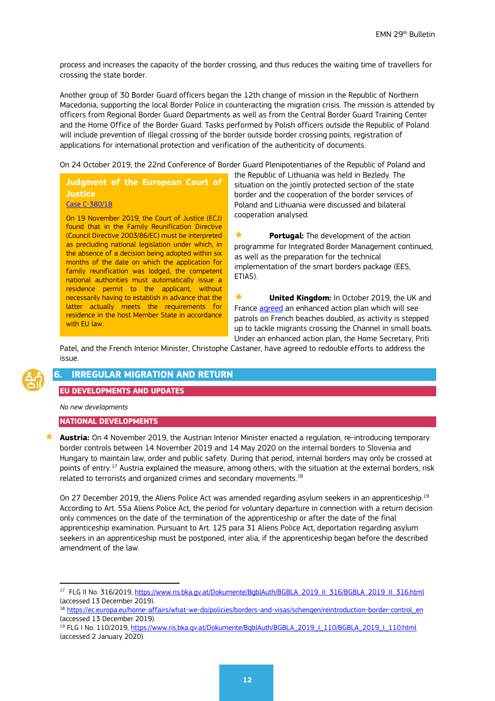process and increases the capacity of the border crossing, and thus reduces the waiting time of travellers for crossing the state border.

Another group of 30 Border Guard officers began the 12th change of mission in the Republic of Northern Macedonia, supporting the local Border Police in counteracting the migration crisis. The mission is attended by officers from Regional Border Guard Departments as well as from the Central Border Guard Training Center and the Home Office of the Border Guard. Tasks performed by Polish officers outside the Republic of Poland will include prevention of illegal crossing of the border outside border crossing points, registration of applications for international protection and verification of the authenticity of documents.

On 24 October 2019, the 22nd Conference of Border Guard Plenipotentiaries of the Republic of Poland and

# **Judgment of the European Court of Justice**

[Case C-380/18](http://curia.europa.eu/juris/document/document.jsf?text=&docid=216086&pageIndex=0&doclang=ES&mode=req&dir=&occ=first&part=1&cid=2599777&utm_source=ECRE+Newsletters&utm_campaign=ede1894078-EMAIL_CAMPAIGN_2019_07_19_08_27&utm_medium=email&utm_term=0_3ec9497afd-ede1894078-422304153)

On 19 November 2019, the Court of Justice (ECJ) found that in the Family Reunification Directive (Council Directive 2003/86/EC) must be interpreted as precluding national legislation under which, in the absence of a decision being adopted within six months of the date on which the application for family reunification was lodged, the competent national authorities must automatically issue a residence permit to the applicant, without necessarily having to establish in advance that the latter actually meets the requirements for residence in the host Member State in accordance with EU law.

the Republic of Lithuania was held in Bezledy. The situation on the jointly protected section of the state border and the cooperation of the border services of Poland and Lithuania were discussed and bilateral cooperation analysed.

 **Portugal:** The development of the action programme for Integrated Border Management continued, as well as the preparation for the technical implementation of the smart borders package (EES, ETIAS).

 **United Kingdom:** In October 2019, the UK and France [agreed](https://www.gov.uk/government/news/french-patrols-doubled-to-tackle-migrant-crossings) an enhanced action plan which will see patrols on French beaches doubled, as activity is stepped up to tackle migrants crossing the Channel in small boats. Under an enhanced action plan, the Home Secretary, Priti

Patel, and the French Interior Minister, Christophe Castaner, have agreed to redouble efforts to address the issue.

# <span id="page-11-0"></span>**IRREGULAR MIGRATION AND RETURN**

#### **EU DEVELOPMENTS AND UPDATES**

*No new developments*

#### **NATIONAL DEVELOPMENTS**

 **Austria:** On 4 November 2019, the Austrian Interior Minister enacted a regulation, re-introducing temporary border controls between 14 November 2019 and 14 May 2020 on the internal borders to Slovenia and Hungary to maintain law, order and public safety. During that period, internal borders may only be crossed at points of entry.<sup>[17](#page-11-1)</sup> Austria explained the measure, among others, with the situation at the external borders, risk related to terrorists and organized crimes and secondary movements. $^{18}$  $^{18}$  $^{18}$ 

On 27 December 20[19](#page-11-3), the Aliens Police Act was amended regarding asylum seekers in an apprenticeship.<sup>19</sup> According to Art. 55a Aliens Police Act, the period for voluntary departure in connection with a return decision only commences on the date of the termination of the apprenticeship or after the date of the final apprenticeship examination. Pursuant to Art. 125 para 31 Aliens Police Act, deportation regarding asylum seekers in an apprenticeship must be postponed, inter alia, if the apprenticeship began before the described amendment of the law.

<span id="page-11-1"></span><sup>&</sup>lt;sup>17</sup> FLG II No. 316/2019, [https://www.ris.bka.gv.at/Dokumente/BgblAuth/BGBLA\\_2019\\_II\\_316/BGBLA\\_2019\\_II\\_316.html](https://www.ris.bka.gv.at/Dokumente/BgblAuth/BGBLA_2019_II_316/BGBLA_2019_II_316.html) (accessed 13 December 2019).

<span id="page-11-2"></span><sup>18</sup> [https://ec.europa.eu/home-affairs/what-we-do/policies/borders-and-visas/schengen/reintroduction-border-control\\_en](https://ec.europa.eu/home-affairs/what-we-do/policies/borders-and-visas/schengen/reintroduction-border-control_en) (accessed 13 December 2019).

<span id="page-11-3"></span><sup>&</sup>lt;sup>19</sup> FLG I No. 110/2019[, https://www.ris.bka.gv.at/Dokumente/BgblAuth/BGBLA\\_2019\\_I\\_110/BGBLA\\_2019\\_I\\_110.html](https://www.ris.bka.gv.at/Dokumente/BgblAuth/BGBLA_2019_I_110/BGBLA_2019_I_110.html) (accessed 2 January 2020).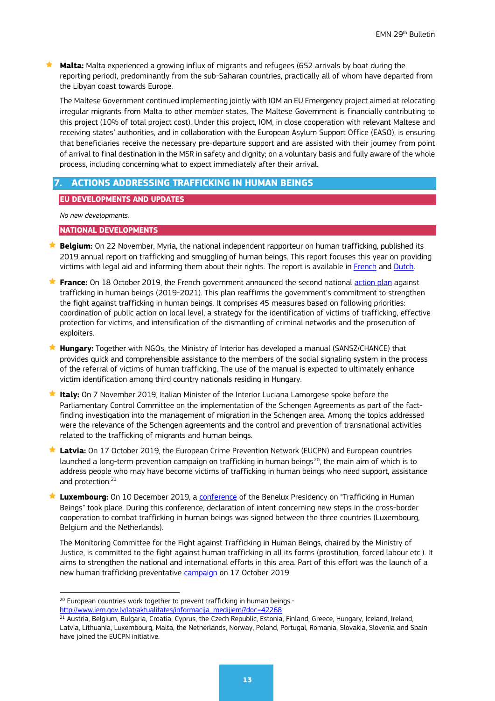**Malta:** Malta experienced a growing influx of migrants and refugees (652 arrivals by boat during the reporting period), predominantly from the sub-Saharan countries, practically all of whom have departed from the Libyan coast towards Europe.

The Maltese Government continued implementing jointly with IOM an EU Emergency project aimed at relocating irregular migrants from Malta to other member states. The Maltese Government is financially contributing to this project (10% of total project cost). Under this project, IOM, in close cooperation with relevant Maltese and receiving states' authorities, and in collaboration with the European Asylum Support Office (EASO), is ensuring that beneficiaries receive the necessary pre-departure support and are assisted with their journey from point of arrival to final destination in the MSR in safety and dignity; on a voluntary basis and fully aware of the whole process, including concerning what to expect immediately after their arrival.

# <span id="page-12-0"></span>**7. ACTIONS ADDRESSING TRAFFICKING IN HUMAN BEINGS**

#### **EU DEVELOPMENTS AND UPDATES**

*No new developments.*

#### **NATIONAL DEVELOPMENTS**

- **★ Belgium:** On 22 November, Myria, the national independent rapporteur on human trafficking, published its 2019 annual report on trafficking and smuggling of human beings. This report focuses this year on providing victims with legal aid and informing them about their rights. The report is available in [French](https://www.myria.be/fr/publications/rapport-annuel-traite-et-trafic-des-etres-humains-2019-de-la-force-daction-pour-les-victimes) and Dutch.
- **★ France:** On 18 October 2019, the French government announced the second national [action plan](https://www.egalite-femmes-hommes.gouv.fr/cp-annonce-du-2nd-plan-daction-national-contre-la-traite-des-etres-humaiins-18-10-2019/) against trafficking in human beings (2019-2021). This plan reaffirms the government's commitment to strengthen the fight against trafficking in human beings. It comprises 45 measures based on following priorities: coordination of public action on local level, a strategy for the identification of victims of trafficking, effective protection for victims, and intensification of the dismantling of criminal networks and the prosecution of exploiters.
- **Hungary:** Together with NGOs, the Ministry of Interior has developed a manual (SANSZ/CHANCE) that provides quick and comprehensible assistance to the members of the social signaling system in the process of the referral of victims of human trafficking. The use of the manual is expected to ultimately enhance victim identification among third country nationals residing in Hungary.
- **★ Italy:** On 7 November 2019, Italian Minister of the Interior Luciana Lamorgese spoke before the Parliamentary Control Committee on the implementation of the Schengen Agreements as part of the factfinding investigation into the management of migration in the Schengen area. Among the topics addressed were the relevance of the Schengen agreements and the control and prevention of transnational activities related to the trafficking of migrants and human beings.
- ★ Latvia: On 17 October 2019, the European Crime Prevention Network (EUCPN) and European countries launched a long-term prevention campaign on trafficking in human beings<sup>20</sup>, the main aim of which is to address people who may have become victims of trafficking in human beings who need support, assistance and protection.<sup>[21](#page-12-2)</sup>
- **Luxembourg:** On 10 December 2019, a [conference](https://gouvernement.lu/fr/actualites/toutes_actualites/communiques/2019/12-decembre/10-benelux-protection.html) of the Benelux Presidency on "Trafficking in Human Beings" took place. During this conference, declaration of intent concerning new steps in the cross-border cooperation to combat trafficking in human beings was signed between the three countries (Luxembourg, Belgium and the Netherlands).

The Monitoring Committee for the Fight against Trafficking in Human Beings, chaired by the Ministry of Justice, is committed to the fight against human trafficking in all its forms (prostitution, forced labour etc.). It aims to strengthen the national and international efforts in this area. Part of this effort was the launch of a new human trafficking preventative [campaign](https://stoptraite.lu/en) on 17 October 2019.

<span id="page-12-1"></span><sup>&</sup>lt;sup>20</sup> European countries work together to prevent trafficking in human beings.-

[http://www.iem.gov.lv/lat/aktualitates/informacija\\_medijiem/?doc=42268](http://www.iem.gov.lv/lat/aktualitates/informacija_medijiem/?doc=42268)

<span id="page-12-2"></span><sup>&</sup>lt;sup>21</sup> Austria, Belgium, Bulgaria, Croatia, Cyprus, the Czech Republic, Estonia, Finland, Greece, Hungary, Iceland, Ireland, Latvia, Lithuania, Luxembourg, Malta, the Netherlands, Norway, Poland, Portugal, Romania, Slovakia, Slovenia and Spain have joined the EUCPN initiative.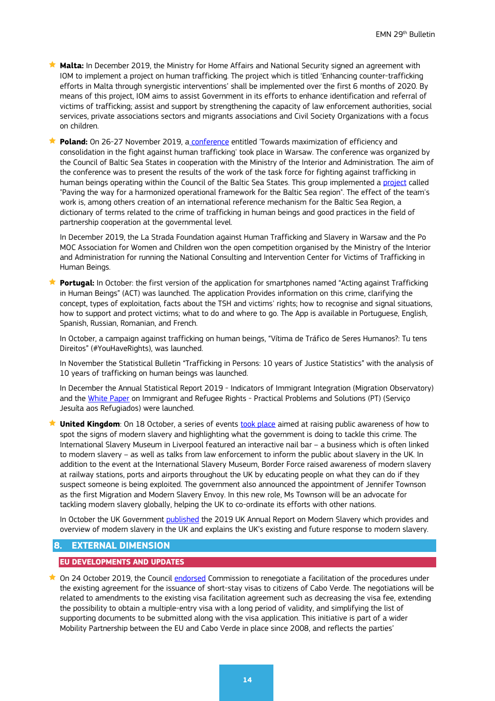**Malta:** In December 2019, the Ministry for Home Affairs and National Security signed an agreement with IOM to implement a project on human trafficking. The project which is titled 'Enhancing counter-trafficking efforts in Malta through synergistic interventions' shall be implemented over the first 6 months of 2020. By means of this project, IOM aims to assist Government in its efforts to enhance identification and referral of victims of trafficking; assist and support by strengthening the capacity of law enforcement authorities, social services, private associations sectors and migrants associations and Civil Society Organizations with a focus on children.

 **Poland:** On 26-27 November 2019, a [conference](https://emn.gov.pl/esm/aktualnosci/15444,Konferencja-Budowanie-ram-operacyjnych-dla-przeciwdzialania-handlowi-ludzmi-w-re.html) entitled 'Towards maximization of efficiency and consolidation in the fight against human trafficking' took place in Warsaw. The conference was organized by the Council of Baltic Sea States in cooperation with the Ministry of the Interior and Administration. The aim of the conference was to present the results of the work of the task force for fighting against trafficking in human beings operating within the Council of the Baltic Sea States. This group implemented a [project](https://handelludzmi.eu/hl/aktualnosci/6953,Projekt-Torujac-droge-zharmonizowanym-ramom-operacyjnym-dla-regionu-Morza-Baltyc.html) called "Paving the way for a harmonized operational framework for the Baltic Sea region". The effect of the team's work is, among others creation of an international reference mechanism for the Baltic Sea Region, a dictionary of terms related to the crime of trafficking in human beings and good practices in the field of partnership cooperation at the governmental level.

In December 2019, the La Strada Foundation against Human Trafficking and Slavery in Warsaw and the Po MOC Association for Women and Children won the open competition organised by the Ministry of the Interior and Administration for running the National Consulting and Intervention Center for Victims of Trafficking in Human Beings.

**Portugal:** In October: the first version of the application for smartphones named "Acting against Trafficking" in Human Beings" (ACT) was launched. The application Provides information on this crime, clarifying the concept, types of exploitation, facts about the TSH and victims' rights; how to recognise and signal situations, how to support and protect victims; what to do and where to go. The App is available in Portuguese, English, Spanish, Russian, Romanian, and French.

In October, a campaign against trafficking on human beings, "Vítima de Tráfico de Seres Humanos?: Tu tens Direitos" (#YouHaveRights), was launched.

In November the Statistical Bulletin "Trafficking in Persons: 10 years of Justice Statistics" with the analysis of 10 years of trafficking on human beings was launched.

In December the Annual Statistical Report 2019 - Indicators of Immigrant Integration (Migration Observatory) and the [White Paper](http://www.jrsportugal.pt/wp-content/uploads/2019/12/Livro-Branco-Servi%C3%A7o-Jesu%C3%ADta-aos-Refugiados.pdf) on Immigrant and Refugee Rights - Practical Problems and Solutions (PT) (Serviço Jesuíta aos Refugiados) were launched.

**★ United Kingdom**: On 18 October, a series of events [took place](https://www.gov.uk/government/news/government-recommits-support-to-victims-on-anti-slavery-day) aimed at raising public awareness of how to spot the signs of modern slavery and highlighting what the government is doing to tackle this crime. The International Slavery Museum in Liverpool featured an interactive nail bar – a business which is often linked to modern slavery – as well as talks from law enforcement to inform the public about slavery in the UK. In addition to the event at the International Slavery Museum, Border Force raised awareness of modern slavery at railway stations, ports and airports throughout the UK by educating people on what they can do if they suspect someone is being exploited. The government also announced the appointment of Jennifer Townson as the first Migration and Modern Slavery Envoy. In this new role, Ms Townson will be an advocate for tackling modern slavery globally, helping the UK to co-ordinate its efforts with other nations.

In October the UK Government [published](https://www.gov.uk/government/publications/2019-uk-annual-report-on-modern-slavery) the 2019 UK Annual Report on Modern Slavery which provides and overview of modern slavery in the UK and explains the UK's existing and future response to modern slavery.

# <span id="page-13-0"></span>**8. EXTERNAL DIMENSION**

#### **EU DEVELOPMENTS AND UPDATES**

★ On 24 October 2019, the Council [endorsed](https://ec.europa.eu/home-affairs/news/20191024_eu-visa-policy-commission-welcomes-council-green-light-negotiate-simplified-visa-procedures-cabo-verde_en) Commission to renegotiate a facilitation of the procedures under the existing agreement for the issuance of short-stay visas to citizens of Cabo Verde. The negotiations will be related to amendments to the existing visa facilitation agreement such as decreasing the visa fee, extending the possibility to obtain a multiple-entry visa with a long period of validity, and simplifying the list of supporting documents to be submitted along with the visa application. This initiative is part of a wider Mobility Partnership between the EU and Cabo Verde in place since 2008, and reflects the parties'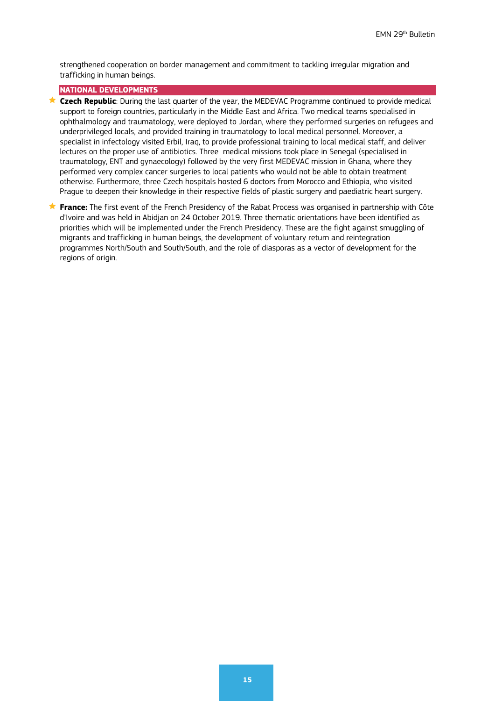strengthened cooperation on border management and commitment to tackling irregular migration and trafficking in human beings.

# **NATIONAL DEVELOPMENTS**

- **★ Czech Republic**: During the last quarter of the year, the MEDEVAC Programme continued to provide medical support to foreign countries, particularly in the Middle East and Africa. Two medical teams specialised in ophthalmology and traumatology, were deployed to Jordan, where they performed surgeries on refugees and underprivileged locals, and provided training in traumatology to local medical personnel. Moreover, a specialist in infectology visited Erbil, Iraq, to provide professional training to local medical staff, and deliver lectures on the proper use of antibiotics. Three medical missions took place in Senegal (specialised in traumatology, ENT and gynaecology) followed by the very first MEDEVAC mission in Ghana, where they performed very complex cancer surgeries to local patients who would not be able to obtain treatment otherwise. Furthermore, three Czech hospitals hosted 6 doctors from Morocco and Ethiopia, who visited Prague to deepen their knowledge in their respective fields of plastic surgery and paediatric heart surgery.
- **France:** The first event of the French Presidency of the Rabat Process was organised in partnership with Côte d'Ivoire and was held in Abidjan on 24 October 2019. Three thematic orientations have been identified as priorities which will be implemented under the French Presidency. These are the fight against smuggling of migrants and trafficking in human beings, the development of voluntary return and reintegration programmes North/South and South/South, and the role of diasporas as a vector of development for the regions of origin.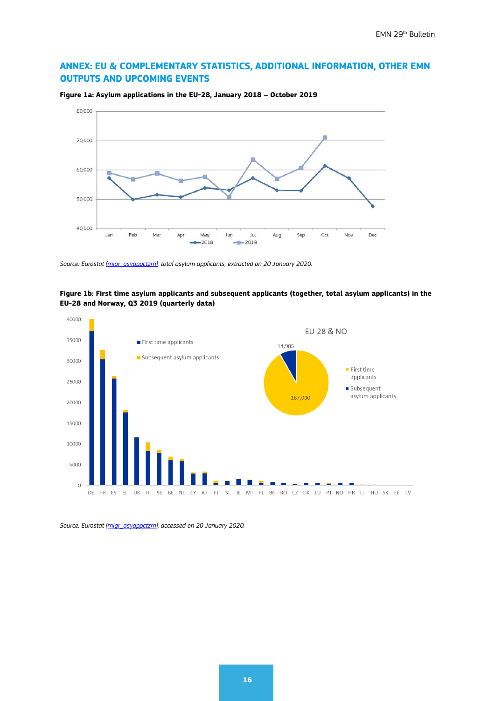# **ANNEX: EU & COMPLEMENTARY STATISTICS, ADDITIONAL INFORMATION, OTHER EMN OUTPUTS AND UPCOMING EVENTS**



**Figure 1a: Asylum applications in the EU-28, January 2018 – October 2019**

*Source: Eurosta[t \[migr\\_asyappctzm\],](http://appsso.eurostat.ec.europa.eu/nui/show.do?dataset=migr_asyappctzm&lang=en) total asylum applicants, extracted on 20 January 2020.*





*Source: Eurostat [\[migr\\_asyappctzm\],](http://appsso.eurostat.ec.europa.eu/nui/show.do?dataset=migr_asyappctzm&lang=en) accessed on 20 January 2020.*